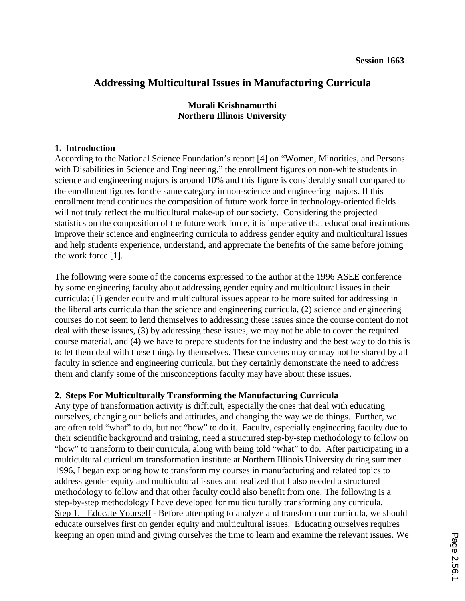# **Addressing Multicultural Issues in Manufacturing Curricula**

# **Murali Krishnamurthi Northern Illinois University**

### **1. Introduction**

According to the National Science Foundation's report [4] on "Women, Minorities, and Persons with Disabilities in Science and Engineering," the enrollment figures on non-white students in science and engineering majors is around 10% and this figure is considerably small compared to the enrollment figures for the same category in non-science and engineering majors. If this enrollment trend continues the composition of future work force in technology-oriented fields will not truly reflect the multicultural make-up of our society. Considering the projected statistics on the composition of the future work force, it is imperative that educational institutions improve their science and engineering curricula to address gender equity and multicultural issues and help students experience, understand, and appreciate the benefits of the same before joining the work force [1].

The following were some of the concerns expressed to the author at the 1996 ASEE conference by some engineering faculty about addressing gender equity and multicultural issues in their curricula: (1) gender equity and multicultural issues appear to be more suited for addressing in the liberal arts curricula than the science and engineering curricula, (2) science and engineering courses do not seem to lend themselves to addressing these issues since the course content do not deal with these issues, (3) by addressing these issues, we may not be able to cover the required course material, and (4) we have to prepare students for the industry and the best way to do this is to let them deal with these things by themselves. These concerns may or may not be shared by all faculty in science and engineering curricula, but they certainly demonstrate the need to address them and clarify some of the misconceptions faculty may have about these issues.

## **2. Steps For Multiculturally Transforming the Manufacturing Curricula**

Any type of transformation activity is difficult, especially the ones that deal with educating ourselves, changing our beliefs and attitudes, and changing the way we do things. Further, we are often told "what" to do, but not "how" to do it. Faculty, especially engineering faculty due to their scientific background and training, need a structured step-by-step methodology to follow on "how" to transform to their curricula, along with being told "what" to do. After participating in a multicultural curriculum transformation institute at Northern Illinois University during summer 1996, I began exploring how to transform my courses in manufacturing and related topics to address gender equity and multicultural issues and realized that I also needed a structured methodology to follow and that other faculty could also benefit from one. The following is a step-by-step methodology I have developed for multiculturally transforming any curricula. Step 1. Educate Yourself - Before attempting to analyze and transform our curricula, we should educate ourselves first on gender equity and multicultural issues. Educating ourselves requires keeping an open mind and giving ourselves the time to learn and examine the relevant issues. We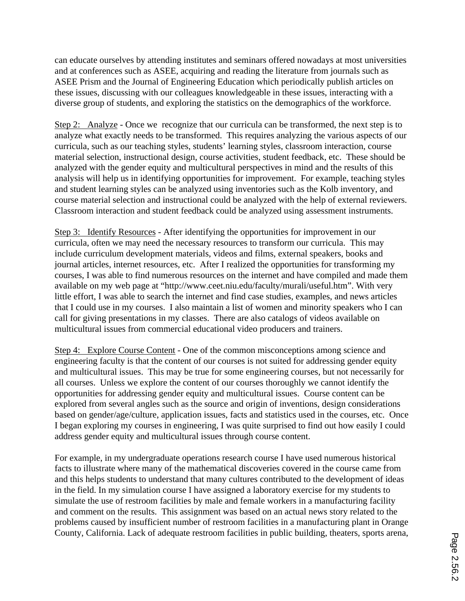can educate ourselves by attending institutes and seminars offered nowadays at most universities and at conferences such as ASEE, acquiring and reading the literature from journals such as ASEE Prism and the Journal of Engineering Education which periodically publish articles on these issues, discussing with our colleagues knowledgeable in these issues, interacting with a diverse group of students, and exploring the statistics on the demographics of the workforce.

Step 2: Analyze - Once we recognize that our curricula can be transformed, the next step is to analyze what exactly needs to be transformed. This requires analyzing the various aspects of our curricula, such as our teaching styles, students' learning styles, classroom interaction, course material selection, instructional design, course activities, student feedback, etc. These should be analyzed with the gender equity and multicultural perspectives in mind and the results of this analysis will help us in identifying opportunities for improvement. For example, teaching styles and student learning styles can be analyzed using inventories such as the Kolb inventory, and course material selection and instructional could be analyzed with the help of external reviewers. Classroom interaction and student feedback could be analyzed using assessment instruments.

Step 3: Identify Resources - After identifying the opportunities for improvement in our curricula, often we may need the necessary resources to transform our curricula. This may include curriculum development materials, videos and films, external speakers, books and journal articles, internet resources, etc. After I realized the opportunities for transforming my courses, I was able to find numerous resources on the internet and have compiled and made them available on my web page at "http://www.ceet.niu.edu/faculty/murali/useful.htm". With very little effort, I was able to search the internet and find case studies, examples, and news articles that I could use in my courses. I also maintain a list of women and minority speakers who I can call for giving presentations in my classes. There are also catalogs of videos available on multicultural issues from commercial educational video producers and trainers.

Step 4: Explore Course Content - One of the common misconceptions among science and engineering faculty is that the content of our courses is not suited for addressing gender equity and multicultural issues. This may be true for some engineering courses, but not necessarily for all courses. Unless we explore the content of our courses thoroughly we cannot identify the opportunities for addressing gender equity and multicultural issues. Course content can be explored from several angles such as the source and origin of inventions, design considerations based on gender/age/culture, application issues, facts and statistics used in the courses, etc. Once I began exploring my courses in engineering, I was quite surprised to find out how easily I could address gender equity and multicultural issues through course content.

For example, in my undergraduate operations research course I have used numerous historical facts to illustrate where many of the mathematical discoveries covered in the course came from and this helps students to understand that many cultures contributed to the development of ideas in the field. In my simulation course I have assigned a laboratory exercise for my students to simulate the use of restroom facilities by male and female workers in a manufacturing facility and comment on the results. This assignment was based on an actual news story related to the problems caused by insufficient number of restroom facilities in a manufacturing plant in Orange County, California. Lack of adequate restroom facilities in public building, theaters, sports arena,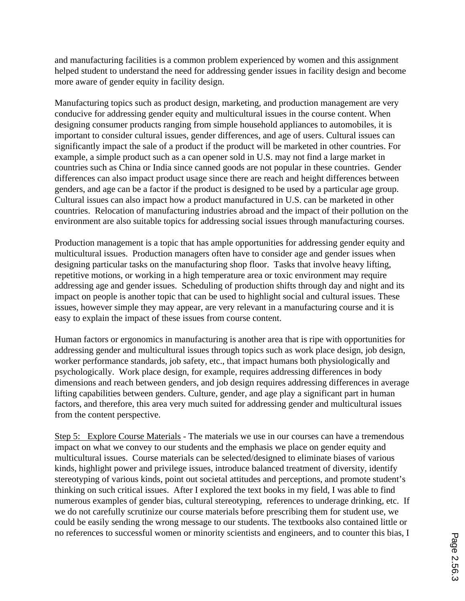and manufacturing facilities is a common problem experienced by women and this assignment helped student to understand the need for addressing gender issues in facility design and become more aware of gender equity in facility design.

Manufacturing topics such as product design, marketing, and production management are very conducive for addressing gender equity and multicultural issues in the course content. When designing consumer products ranging from simple household appliances to automobiles, it is important to consider cultural issues, gender differences, and age of users. Cultural issues can significantly impact the sale of a product if the product will be marketed in other countries. For example, a simple product such as a can opener sold in U.S. may not find a large market in countries such as China or India since canned goods are not popular in these countries. Gender differences can also impact product usage since there are reach and height differences between genders, and age can be a factor if the product is designed to be used by a particular age group. Cultural issues can also impact how a product manufactured in U.S. can be marketed in other countries. Relocation of manufacturing industries abroad and the impact of their pollution on the environment are also suitable topics for addressing social issues through manufacturing courses.

Production management is a topic that has ample opportunities for addressing gender equity and multicultural issues. Production managers often have to consider age and gender issues when designing particular tasks on the manufacturing shop floor. Tasks that involve heavy lifting, repetitive motions, or working in a high temperature area or toxic environment may require addressing age and gender issues. Scheduling of production shifts through day and night and its impact on people is another topic that can be used to highlight social and cultural issues. These issues, however simple they may appear, are very relevant in a manufacturing course and it is easy to explain the impact of these issues from course content.

Human factors or ergonomics in manufacturing is another area that is ripe with opportunities for addressing gender and multicultural issues through topics such as work place design, job design, worker performance standards, job safety, etc., that impact humans both physiologically and psychologically. Work place design, for example, requires addressing differences in body dimensions and reach between genders, and job design requires addressing differences in average lifting capabilities between genders. Culture, gender, and age play a significant part in human factors, and therefore, this area very much suited for addressing gender and multicultural issues from the content perspective.

Step 5: Explore Course Materials - The materials we use in our courses can have a tremendous impact on what we convey to our students and the emphasis we place on gender equity and multicultural issues. Course materials can be selected/designed to eliminate biases of various kinds, highlight power and privilege issues, introduce balanced treatment of diversity, identify stereotyping of various kinds, point out societal attitudes and perceptions, and promote student's thinking on such critical issues. After I explored the text books in my field, I was able to find numerous examples of gender bias, cultural stereotyping, references to underage drinking, etc. If we do not carefully scrutinize our course materials before prescribing them for student use, we could be easily sending the wrong message to our students. The textbooks also contained little or no references to successful women or minority scientists and engineers, and to counter this bias, I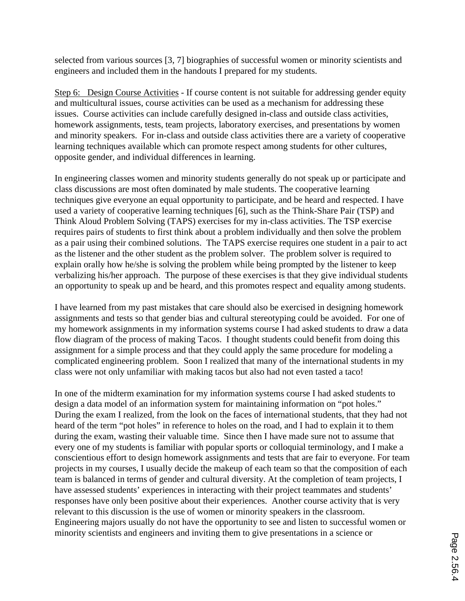selected from various sources [3, 7] biographies of successful women or minority scientists and engineers and included them in the handouts I prepared for my students.

Step 6: Design Course Activities - If course content is not suitable for addressing gender equity and multicultural issues, course activities can be used as a mechanism for addressing these issues. Course activities can include carefully designed in-class and outside class activities, homework assignments, tests, team projects, laboratory exercises, and presentations by women and minority speakers. For in-class and outside class activities there are a variety of cooperative learning techniques available which can promote respect among students for other cultures, opposite gender, and individual differences in learning.

In engineering classes women and minority students generally do not speak up or participate and class discussions are most often dominated by male students. The cooperative learning techniques give everyone an equal opportunity to participate, and be heard and respected. I have used a variety of cooperative learning techniques [6], such as the Think-Share Pair (TSP) and Think Aloud Problem Solving (TAPS) exercises for my in-class activities. The TSP exercise requires pairs of students to first think about a problem individually and then solve the problem as a pair using their combined solutions. The TAPS exercise requires one student in a pair to act as the listener and the other student as the problem solver. The problem solver is required to explain orally how he/she is solving the problem while being prompted by the listener to keep verbalizing his/her approach. The purpose of these exercises is that they give individual students an opportunity to speak up and be heard, and this promotes respect and equality among students.

I have learned from my past mistakes that care should also be exercised in designing homework assignments and tests so that gender bias and cultural stereotyping could be avoided. For one of my homework assignments in my information systems course I had asked students to draw a data flow diagram of the process of making Tacos. I thought students could benefit from doing this assignment for a simple process and that they could apply the same procedure for modeling a complicated engineering problem. Soon I realized that many of the international students in my class were not only unfamiliar with making tacos but also had not even tasted a taco!

In one of the midterm examination for my information systems course I had asked students to design a data model of an information system for maintaining information on "pot holes." During the exam I realized, from the look on the faces of international students, that they had not heard of the term "pot holes" in reference to holes on the road, and I had to explain it to them during the exam, wasting their valuable time. Since then I have made sure not to assume that every one of my students is familiar with popular sports or colloquial terminology, and I make a conscientious effort to design homework assignments and tests that are fair to everyone. For team projects in my courses, I usually decide the makeup of each team so that the composition of each team is balanced in terms of gender and cultural diversity. At the completion of team projects, I have assessed students' experiences in interacting with their project teammates and students' responses have only been positive about their experiences. Another course activity that is very relevant to this discussion is the use of women or minority speakers in the classroom. Engineering majors usually do not have the opportunity to see and listen to successful women or minority scientists and engineers and inviting them to give presentations in a science or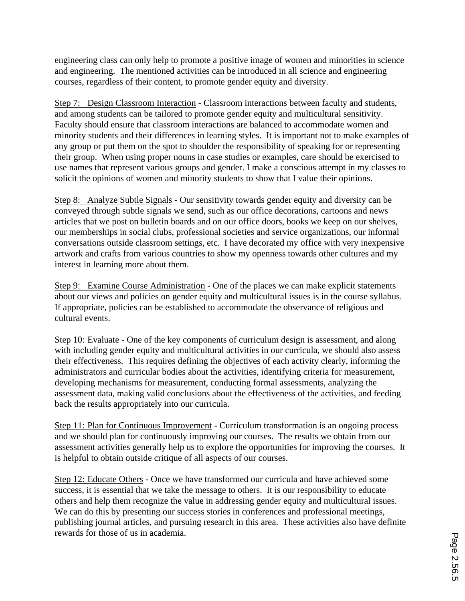engineering class can only help to promote a positive image of women and minorities in science and engineering. The mentioned activities can be introduced in all science and engineering courses, regardless of their content, to promote gender equity and diversity.

Step 7: Design Classroom Interaction - Classroom interactions between faculty and students, and among students can be tailored to promote gender equity and multicultural sensitivity. Faculty should ensure that classroom interactions are balanced to accommodate women and minority students and their differences in learning styles. It is important not to make examples of any group or put them on the spot to shoulder the responsibility of speaking for or representing their group. When using proper nouns in case studies or examples, care should be exercised to use names that represent various groups and gender. I make a conscious attempt in my classes to solicit the opinions of women and minority students to show that I value their opinions.

Step 8: Analyze Subtle Signals - Our sensitivity towards gender equity and diversity can be conveyed through subtle signals we send, such as our office decorations, cartoons and news articles that we post on bulletin boards and on our office doors, books we keep on our shelves, our memberships in social clubs, professional societies and service organizations, our informal conversations outside classroom settings, etc. I have decorated my office with very inexpensive artwork and crafts from various countries to show my openness towards other cultures and my interest in learning more about them.

Step 9: Examine Course Administration - One of the places we can make explicit statements about our views and policies on gender equity and multicultural issues is in the course syllabus. If appropriate, policies can be established to accommodate the observance of religious and cultural events.

Step 10: Evaluate - One of the key components of curriculum design is assessment, and along with including gender equity and multicultural activities in our curricula, we should also assess their effectiveness. This requires defining the objectives of each activity clearly, informing the administrators and curricular bodies about the activities, identifying criteria for measurement, developing mechanisms for measurement, conducting formal assessments, analyzing the assessment data, making valid conclusions about the effectiveness of the activities, and feeding back the results appropriately into our curricula.

Step 11: Plan for Continuous Improvement - Curriculum transformation is an ongoing process and we should plan for continuously improving our courses. The results we obtain from our assessment activities generally help us to explore the opportunities for improving the courses. It is helpful to obtain outside critique of all aspects of our courses.

Step 12: Educate Others - Once we have transformed our curricula and have achieved some success, it is essential that we take the message to others. It is our responsibility to educate others and help them recognize the value in addressing gender equity and multicultural issues. We can do this by presenting our success stories in conferences and professional meetings, publishing journal articles, and pursuing research in this area. These activities also have definite rewards for those of us in academia.